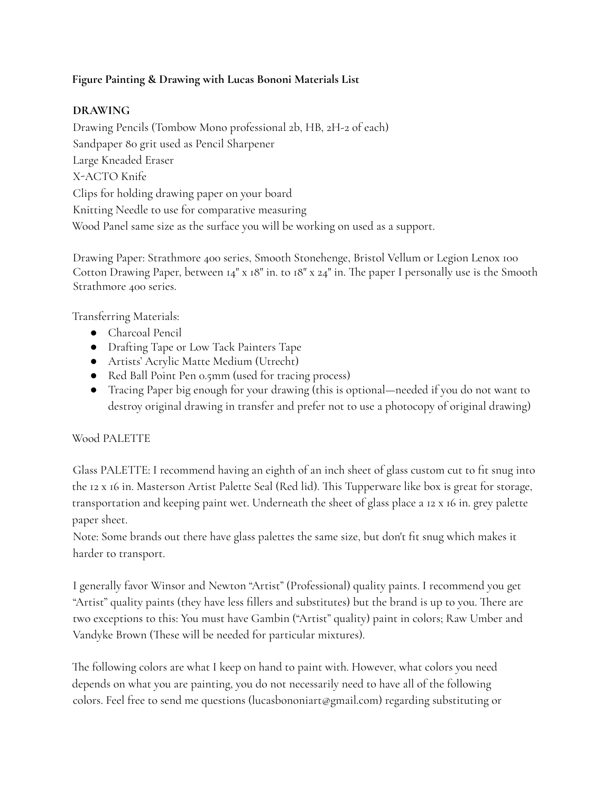## **Figure Painting & Drawing with Lucas Bononi Materials List**

## **DRAWING**

Drawing Pencils (Tombow Mono professional 2b, HB, 2H-2 of each) Sandpaper 80 grit used as Pencil Sharpener Large Kneaded Eraser X-ACTO Knife Clips for holding drawing paper on your board Knitting Needle to use for comparative measuring Wood Panel same size as the surface you will be working on used as a support.

Drawing Paper: Strathmore 400 series, Smooth Stonehenge, Bristol Vellum or Legion Lenox 100 Cotton Drawing Paper, between 14" x 18" in. to 18" x 24" in. The paper I personally use is the Smooth Strathmore 400 series.

Transferring Materials:

- Charcoal Pencil
- Drafting Tape or Low Tack Painters Tape
- Artists' Acrylic Matte Medium (Utrecht)
- Red Ball Point Pen 0.5mm (used for tracing process)
- Tracing Paper big enough for your drawing (this is optional—needed if you do not want to destroy original drawing in transfer and prefer not to use a photocopy of original drawing)

# Wood PALETTE

Glass PALETTE: I recommend having an eighth of an inch sheet of glass custom cut to fit snug into the 12 x 16 in. Masterson Artist Palette Seal (Red lid). This Tupperware like box is great for storage, transportation and keeping paint wet. Underneath the sheet of glass place a 12 x 16 in. grey palette paper sheet.

Note: Some brands out there have glass palettes the same size, but don't fit snug which makes it harder to transport.

I generally favor Winsor and Newton "Artist" (Professional) quality paints. I recommend you get "Artist" quality paints (they have less fillers and substitutes) but the brand is up to you. There are two exceptions to this: You must have Gambin ("Artist" quality) paint in colors; Raw Umber and Vandyke Brown (These will be needed for particular mixtures).

The following colors are what I keep on hand to paint with. However, what colors you need depends on what you are painting, you do not necessarily need to have all of the following colors. Feel free to send me questions (lucasbononiart@gmail.com) regarding substituting or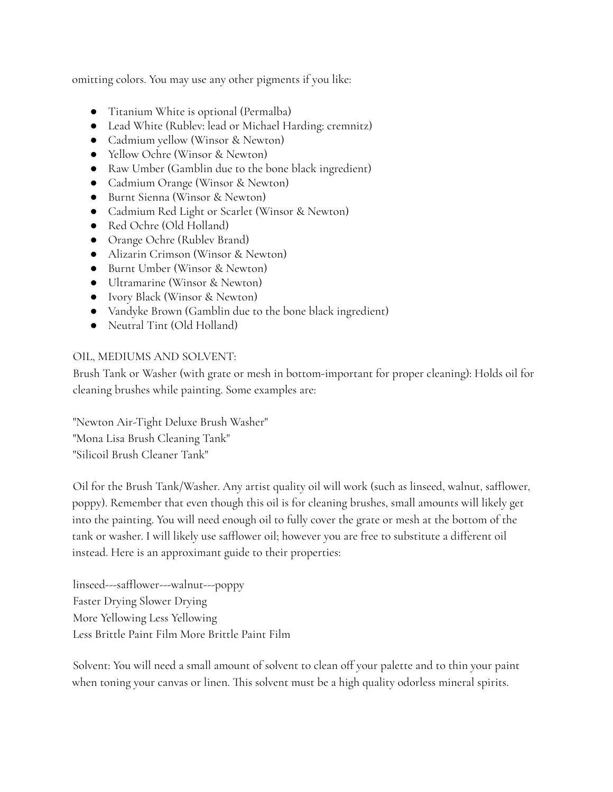omitting colors. You may use any other pigments if you like:

- Titanium White is optional (Permalba)
- Lead White (Rublev: lead or Michael Harding: cremnitz)
- Cadmium yellow (Winsor & Newton)
- Yellow Ochre (Winsor & Newton)
- Raw Umber (Gamblin due to the bone black ingredient)
- Cadmium Orange (Winsor & Newton)
- Burnt Sienna (Winsor & Newton)
- Cadmium Red Light or Scarlet (Winsor & Newton)
- Red Ochre (Old Holland)
- Orange Ochre (Rublev Brand)
- Alizarin Crimson (Winsor & Newton)
- Burnt Umber (Winsor & Newton)
- Ultramarine (Winsor & Newton)
- Ivory Black (Winsor & Newton)
- Vandyke Brown (Gamblin due to the bone black ingredient)
- Neutral Tint (Old Holland)

## OIL, MEDIUMS AND SOLVENT:

Brush Tank or Washer (with grate or mesh in bottom-important for proper cleaning): Holds oil for cleaning brushes while painting. Some examples are:

"Newton Air-Tight Deluxe Brush Washer" "Mona Lisa Brush Cleaning Tank" "Silicoil Brush Cleaner Tank"

Oil for the Brush Tank/Washer. Any artist quality oil will work (such as linseed, walnut, safflower, poppy). Remember that even though this oil is for cleaning brushes, small amounts will likely get into the painting. You will need enough oil to fully cover the grate or mesh at the bottom of the tank or washer. I will likely use safflower oil; however you are free to substitute a different oil instead. Here is an approximant guide to their properties:

linseed---safflower---walnut---poppy Faster Drying Slower Drying More Yellowing Less Yellowing Less Brittle Paint Film More Brittle Paint Film

Solvent: You will need a small amount of solvent to clean off your palette and to thin your paint when toning your canvas or linen. This solvent must be a high quality odorless mineral spirits.